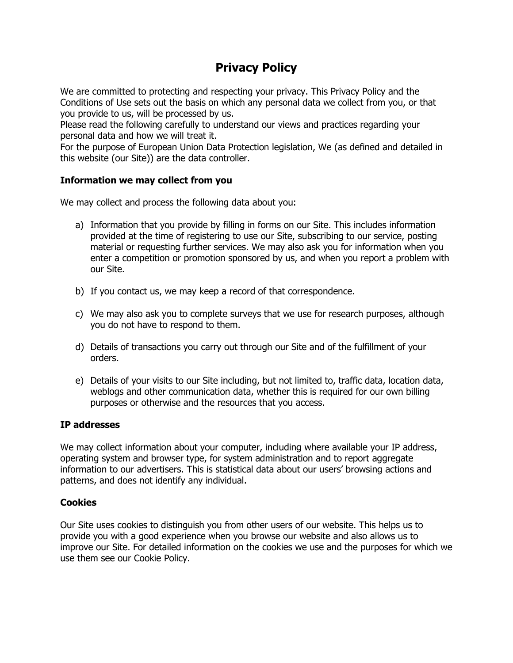# **Privacy Policy**

We are committed to protecting and respecting your privacy. This Privacy Policy and the Conditions of Use sets out the basis on which any personal data we collect from you, or that you provide to us, will be processed by us.

Please read the following carefully to understand our views and practices regarding your personal data and how we will treat it.

For the purpose of European Union Data Protection legislation, We (as defined and detailed in this website (our Site)) are the data controller.

### **Information we may collect from you**

We may collect and process the following data about you:

- a) Information that you provide by filling in forms on our Site. This includes information provided at the time of registering to use our Site, subscribing to our service, posting material or requesting further services. We may also ask you for information when you enter a competition or promotion sponsored by us, and when you report a problem with our Site.
- b) If you contact us, we may keep a record of that correspondence.
- c) We may also ask you to complete surveys that we use for research purposes, although you do not have to respond to them.
- d) Details of transactions you carry out through our Site and of the fulfillment of your orders.
- e) Details of your visits to our Site including, but not limited to, traffic data, location data, weblogs and other communication data, whether this is required for our own billing purposes or otherwise and the resources that you access.

#### **IP addresses**

We may collect information about your computer, including where available your IP address, operating system and browser type, for system administration and to report aggregate information to our advertisers. This is statistical data about our users' browsing actions and patterns, and does not identify any individual.

## **Cookies**

Our Site uses cookies to distinguish you from other users of our website. This helps us to provide you with a good experience when you browse our website and also allows us to improve our Site. For detailed information on the cookies we use and the purposes for which we use them see our Cookie Policy.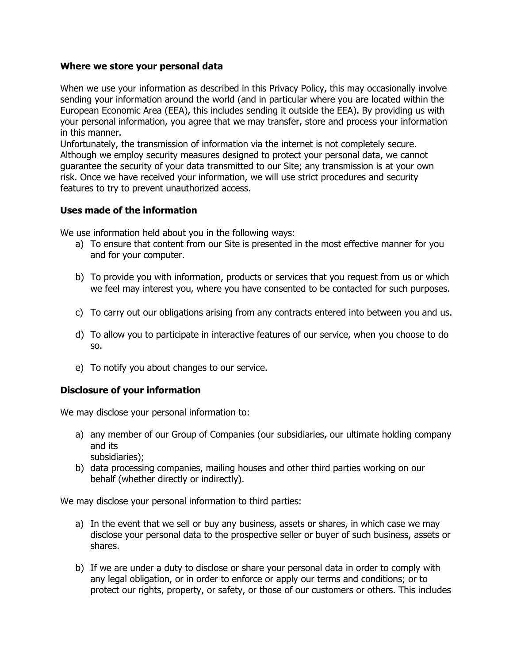#### **Where we store your personal data**

When we use your information as described in this Privacy Policy, this may occasionally involve sending your information around the world (and in particular where you are located within the European Economic Area (EEA), this includes sending it outside the EEA). By providing us with your personal information, you agree that we may transfer, store and process your information in this manner.

Unfortunately, the transmission of information via the internet is not completely secure. Although we employ security measures designed to protect your personal data, we cannot guarantee the security of your data transmitted to our Site; any transmission is at your own risk. Once we have received your information, we will use strict procedures and security features to try to prevent unauthorized access.

#### **Uses made of the information**

We use information held about you in the following ways:

- a) To ensure that content from our Site is presented in the most effective manner for you and for your computer.
- b) To provide you with information, products or services that you request from us or which we feel may interest you, where you have consented to be contacted for such purposes.
- c) To carry out our obligations arising from any contracts entered into between you and us.
- d) To allow you to participate in interactive features of our service, when you choose to do so.
- e) To notify you about changes to our service.

#### **Disclosure of your information**

We may disclose your personal information to:

- a) any member of our Group of Companies (our subsidiaries, our ultimate holding company and its subsidiaries);
- b) data processing companies, mailing houses and other third parties working on our behalf (whether directly or indirectly).

We may disclose your personal information to third parties:

- a) In the event that we sell or buy any business, assets or shares, in which case we may disclose your personal data to the prospective seller or buyer of such business, assets or shares.
- b) If we are under a duty to disclose or share your personal data in order to comply with any legal obligation, or in order to enforce or apply our terms and conditions; or to protect our rights, property, or safety, or those of our customers or others. This includes